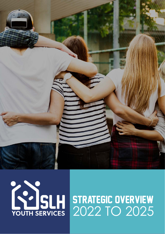



# STRATEGIC OVERVIEW 2022 TO 2025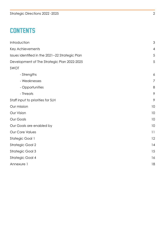# **CONTENTS**

| Introduction                                     | 3  |
|--------------------------------------------------|----|
| Key Achievements                                 | 4  |
| Issues identified in the 2021--22 Strategic Plan | 5  |
| Development of The Strategic Plan 2022-2025      | 5  |
| SWOT                                             |    |
| - Strengths                                      | 6  |
| - Weaknesses                                     | 7  |
| - Opportunities                                  | 8  |
| - Threats                                        | 9  |
| Staff input to priorities for SLH                | 9  |
| Our mission                                      | 10 |
| Our Vision                                       | 10 |
| Our Goals                                        | 10 |
| Our Goals are enabled by                         | 10 |
| Our Core Values                                  | 11 |
| <b>Stategic Goal 1</b>                           | 12 |
| <b>Strategic Goal 2</b>                          | 14 |
| <b>Strategic Goal 3</b>                          | 15 |
| <b>Strategic Goal 4</b>                          | 16 |
| Annexure 1                                       | 18 |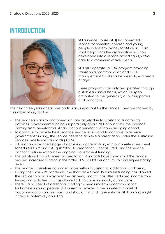#### **INTRODUCTION**



St Laurence House (SLH) has operated a service for homeless children and young people in eastern Sydney for 44 years. From small beginnings the organisation has now developed into a service providing 24/7/365 care to a maximum of five clients.

SLH also operates a STAY program providing transition accommodation and case management for clients between 18 – 24 years of age.

These programs can only be operated through a stable financial status, which is largely attributed to the generosity of our supporters and donations.

The next three years ahead are particularly important for the service. They are shaped by a number of key factors:

- The service's viability and operations are largely due to substantial fundraising activities. Government funding supports only about 70% of our costs, the balance coming from benefactors. Analysis of our benefactors shows an aging cohort.
- To continue to provide best practice service levels, and to continue to receive government funding, the service needs to achieve accreditation under the Australian Services Excellence standards (ASES).
- SLH is at an advanced stage of achieving accreditation, with our on-site assessment scheduled for 2 and 3 August 2022. Accreditation is not assured, and the service cannot continue without the ongoing Government funding.
- The additional costs to meet accreditation standards have shown that the service requires increased funding in the order of \$100,000 per annum, to fund higher staffing levels.
- The service is therefore no longer viable without substantial additional fundraising.
- During the Covid-19 pandemic, the short term Covid 19 stimulus funding has allowed the service to pay its way over the last year, and this has offset reduced income from fundraising activities. This has allowed SLH to cope financially during Covid.
- There is a prospect of additional funding for medium-term accommodation for homeless young people. SLH currently provides a medium-term model of accommodation and services, and should this funding eventuate, SLH funding might increase, potentially doubling.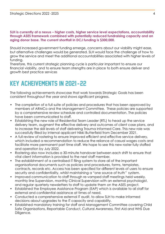#### **SLH is currently at a nexus – higher costs, higher service level expectations, accountability through ASES framework combined with potentially reduced fundraising capacity and an aging donor base. The current shortfall in DCJ funding is \$300,000.**

Should increased government funding emerge, concerns about our viability might ease, but alternative challenges would be generated. SLH would face the challenge of how to grow the service and meet the additional accountabilities associated with higher levels of funding.

Therefore, this current strategic planning cycle is particular important to ensure our financial viability, and to ensure team strengths are in place to both ensure deliver and growth best practice services

# Key acheivements in 2021**-**22

The following achievements showcase that work towards Strategic Goals has been consistent throughout the year and shows significant progress.

- The completion of a full suite of policies and procedures that has been approved by members of ARMCo and the Management Committee. These policies are supported by a comprehensive review schedule and controlled documentation. The policies have been communicated to staff.
- Establishing the new role of Residential Team Leader (RTL) to head up the service delivery team, augment the effective delivery and outcomes of client case plans, and to increase the skill levels of staff delivering Trauma Informed Care. This new role was successfully filled by internal applicant Nikki Butterfield from December 2021.
- A full review of rostering to ensure improved efficient and effective service delivery, which included a recommendation to reduce the reliance of casual wages costs and facilitate more permanent part time staff. We hope to see this new roster fully staffed and operation by July 2022.
- Rostering also now includes a 30-minute handover between each shift to ensure that vital client information is provided to the next staff member.
- The establishment of a centralised IT filing system to store all of the important organisational documents such as policies and procedures, forms, templates, contracts, records etc. Access has been specified for different levels of users to ensure security and confidentiality, whilst maintaining a "one source of truth'' system.
- Improved communication to staff through re-vamped staff meetings held weekly, monthly line Supervision, monthly Clinical Supervision with an external psychologist, and regular quarterly newsletters to staff to update them on the ASES project.
- Established the Employee Assistance Program (EAP) which is available to all staff for external and confidential assistance at times of need.
- Conducted a comprehensive external IT audit, to allow SLH to make informed decisions about upgrades to the IT capacity and capability.
- Established mandatory training for staff and Management Committee covering Child Safe Organisations, Reportable Conduct, Cultural Awareness, First Aid and WHS Due Diligence.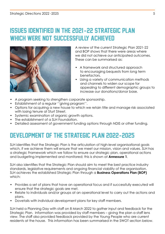# **ISSUES IDENTIFIED IN THE 2021-22 STRATEGIC PLAN** which were not successfully achieved



A review of the current Strategic Plan 2021-22 and BOP shows that there were areas where we did not achieve our anticipated outcomes. These can be summarised as:

- A framework and structured approach to encouraging bequests from long term benefactors.
- Using a variety of communication methods and channels to widen our scope for appealing to different demographic groups to increase our donations/donor base.
- A program seeking to strengthen corporate sponsorship.
- Establishment of a regular ''giving program''.
- Options for acquiring a new house to which we retain title and manage risk associated with losing tenure at Sturt Street.
- Systemic examination of organic growth options.
- The establishment of a SLH Foundation.
- Detailed assessment of government funding options through NDIS or other funding.

# Development of The Strategic Plan 2022**-**2025

SLH identifies that the Strategic Plan is the articulation of high-level organisational goals which, if we achieve them will ensure that we meet our mission, vision and values. SLH has a strategic Framework which we follow to ensure our strategic plan, operational actions and budgeting implemented and monitored; this is shown at **Annexure 1**.

SLH also identifies that the Strategic Plan should aim to meet the best practice industry standards, legislative requirements and ongoing financial viability of the organisation. SLH achieves the established Strategic Plan through a **Business Operations Plan (BOP)**  which:

- Provides a set of plans that have an operational focus and if successfully executed will ensure that the strategic goals are met.
- Relate to individuals and/or groups at an operational level to carry out the actions and plans.
- Dovetails with individual development plans for key staff members.

SLH held a Planning Day with staff on 8 March 2022 to gather input and feedback for the Strategic Plan. Information was provided by staff members – giving the plan a staff lens view. The staff also provided feedback provided by the Young People who are current residents at the house. This information has been summarised in the SWOT section below.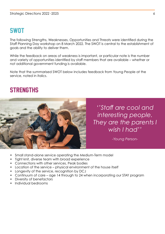#### SWOT

The following Strengths, Weaknesses, Opportunities and Threats were identified during the Staff Planning Day workshop on 8 March 2022. The SWOT is central to the establishment of goals and the ability to deliver them.

While the feedback on areas of weakness is important, or particular note is the number and variety of opportunities identified by staff members that are available – whether or not additional government funding is available.

Note that the summarised SWOT below includes feedback from Young People at the service, noted in italics.

#### **STRENGTHS**



*''Staff are cool and interesting people. They are the parents I wish I had''*

*-Young Person-*

- Small stand-alone service operating the Medium-Term model
- Tight knit, diverse team with broad experience
- Connections with other services, Peak bodies
- Location of the service physical environment of the house itself
- Longevity of the service, recognition by DCJ
- Continuum of care age 14 through to 24 when incorporating our STAY program
- Diversity of benefactors
- Individual bedrooms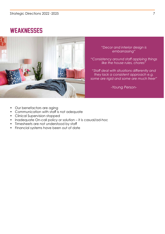#### **WEAKNESSES**



*"Decor and interior design is embarrassing"*

*"Consistency around staff applying things like the house rules, chores"*

*"Staff deal with situations differently and they lack a consistent approach e.g. some are rigid and some are much freer"*

*-Young Person-*

- Our benefactors are aging
- Communication with staff is not adequate
- Clinical Supervision stopped
- Inadequate On-call policy or solution it is casual/ad-hoc
- Timesheets are not understood by staff
- Financial systems have been out of date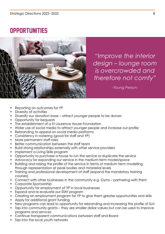#### **OPPORTUNITIES**



*"Improve the interior design – lounge room is overcrowded and therefore not comfy"*

*-Young Person-*

- Reporting on outcomes for YP
- Diversity of activities
- Diversify our donation base attract younger people to be donors
- Opportunity for bequests
- The establishment of a St Laurence House Foundation
- Wider use of social media to attract younger people and increase our profile
- Rebranding to appeal on social media platforms
- Consistency in rostering (good for staff and YP)
- More permanent staff roles
- Better communication between the staff team
- Build strong relationships externally with other service providers
- Implement a Living Skills program
- Opportunity to purchase a house to run the service or duplicate the service
- Advocacy for expanding our service in the medium-term model/space
- Building and raising the profile of the service in terms of medium term modelling through representation at peak bodies and ministerial levels
- Training and professional development of staff (expand the mandatory training courses)
- Connect with other businesses in the community e.g. Gyms partnering with them
- Corporate Sponsorship
- Opportunity for employment of YP in local businesses
- Expand and re-evaluate our STAY program
- Creating an employment program for YP to give them greater opportunities and skills
- Apply for additional arant funding
- New programs can lead to opportunity for rebranding and increasing the profile of SLH
- Tap into community grants they are smaller dollar values but can be used to improve programs and services
- Continue transparent communications between staff and Board
- Tap into the local youth networks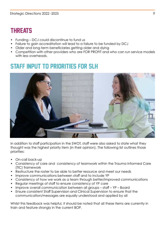## **THREATS**

- Funding DCJ could discontinue to fund us
- Failure to gain accreditation will lead to a failure to be funded by DCJ
- Older and long-term beneficiaries getting older and dying
- Competition with other providers who are FOR PROFIT and who can run service models with less overheads.

### Staff input to priorities for SLH



In addition to staff participation in the SWOT, staff were also asked to state what they thought was the highest priority item (in their opinion). The following list outlines those priorities:

- On-call back-up
- Consistency of care and consistency of teamwork within the Trauma Informed Care (TIC) framework
- Restructure the roster to be able to better resource and meet our needs
- Improve communications between staff and to include YP
- Consistency of how we work as a team through better/improved communications
- Regular meetings of staff to ensure consistency of YP care
- Improve overall communication between all groups staff YP Board
- Ensure consistent Staff Supervision and Clinical Supervision to ensure that the communication/messages are equally understood and applied by all

Whilst this feedback was helpful, it should be noted that all these items are currently in train and feature strongly in the current BOP.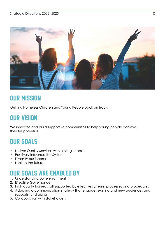

# Our mission

Getting Homeless Children and Young People back on track.

# Our vision

We innovate and build supportive communities to help young people achieve their full potential.

# Our goals

- Deliver Quality Services with Lasting Impact
- Positively Influence the System
- Diversify our income
- Look to the future

## Our goals are enabled by

- 1. Understanding our environment
- 2. Effective Governance
- 3. High quality trained staff supported by effective systems, processes and procedures
- 4. Adopting a communication strategy that engages existing and new audiences and supports fundraising
- 5. Collaboration with stakeholders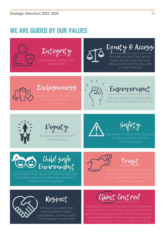# We are guided by our values



Integrity

We work with honesty and transparency



Equity & Access

We treat our clients fairly and as equals, ensuring that they have access to services that they need in order to flourish



Inclusiveness



Empowerment

We work towards providing clients with the tools to transform their lives



Dignity

We acknowledge the worth of every person



Safety

core of all practice



We will at all times uphold the National Child Safe Principals to ensure the safety and wellbeing of children and young people



Trust



Respect

We work in a manner that encompasses empathy, consideration, communication and tolerance for each other

Client Centred

specifically designed for them and has focus on their goals and aspirations. We encourage and support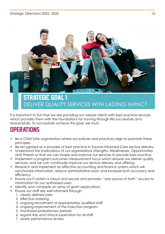

#### **STRATEGIC GOAL 1** DELIVER QUALITY SERVICES WITH LASTING IMPACT

It is important to SLH that we are providing our valued clients with best practice services which provides them with the foundations for moving through life successfully and resourcefully. To successfully achieve this goal, we must:

# **OPERATIONS**

- Be a Child Safe organisation where our policies and practices align to promote these principles.
- Be recognised as a provider of best practice in Trauma Informed Care service delivery.
- Understand the implications of our organisations Strengths, Weaknesses, Opportunities and Threats so that we can shape and improve our services to provide best practice.
- Implement a program outcomes measurement focus which ensures we deliver quality services, and we can continually improve our service delivery and offering.
- Research and implement an effective accounting and finance system which will synchronize information, reduce administrative load, and increase both accuracy and efficiency.
- Ensure our IT system is robust and secure and provides ''one source of truth'' access to information for our authorised users.
- Identify and complete an array of grant applications.
- Ensure our staff are well informed through:
	- 1. clearly defined roles
	- 2. effective rostering
	- 3. ongoing recruitment of appropriately qualified staff
	- 4. ongoing improvement of the induction program
	- 5. monitored probationary periods
	- 6. regular line and clinical supervision for all staff
	- 7. yearly performance review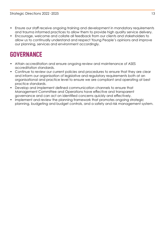- Ensure our staff receive ongoing training and development in mandatory requirements and trauma informed practices to allow them to provide high quality service delivery.
- Encourage, welcome and collate all feedback from our clients and stakeholders to allow us to continually understand and respect Young People's opinions and improve our planning, services and environment accordingly.

# **GOVERNANCE**

- Attain accreditation and ensure ongoing review and maintenance of ASES accreditation standards.
- Continue to review our current policies and procedures to ensure that they are clear and inform our organisation of legislative and regulatory requirements both at an organisational and practice level to ensure we are compliant and operating at best practice standards.
- Develop and implement defined communication channels to ensure that Management Committee and Operations have effective and transparent governance and can act on identified concerns quickly and effectively.
- Implement and review the planning framework that promotes ongoing strategic planning, budgeting and budget controls, and a safety and risk management system.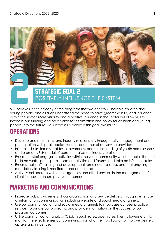

SLH believes in the efficacy of the programs that we offer to vulnerable children and young people, and as such understand the need to have greater visibility and influence within the sector. More visibility and a positive influence in the sector will allow SLH to increase our funding and be a voice to set direction and policy for children and young people into the future. To successfully achieve this goal, we must:

# **OPERATIONS**

- Develop and maintain strong industry relationships through active engagement and participation with peak bodies, funders and other allied service providers.
- Initiate industry forums that foster awareness and understanding of youth homelessness and promotes SLH model of care that raises our industry profile.
- Ensure our staff engage in activities within the wider community which enables them to build networks, participate in sector activities and forums, and take on influential roles.
- Ensures that staff training and development remains up-to-date, and that ongoing mandatory training is monitored and completed.
- Actively collaborate with other agencies and allied services in the management of clients' cases to ensure positive outcomes.

# Marketing and Communications

- Increase public awareness of our organisation and service delivery through better use of information communication including website and social media channels.
- Use our communication and social media channels to showcase our best practice services, promote our programs, and provide information on the success of our program outcomes.
- Utilise communication analysis (Click through rates, open rates, likes, followers etc.) to monitor the effectiveness our communication channels to allow us to improve delivery, uptake and influence.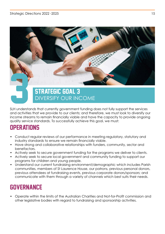

SLH understands that currently government funding does not fully support the services and activities that we provide to our clients; and therefore, we must look to diversify our income streams to remain financially viable and have the capacity to provide ongoing quality service standards. To successfully achieve this goal, we must:

# **OPERATIONS**

- Conduct regular reviews of our performance in meeting regulatory, statutory and industry standards to ensure we remain financially viable.
- Have strong and collaborative relationships with funders, community, sector and benefactors.
- Actively seek to secure government funding for the programs we deliver to clients.
- Actively seek to secure local government and community funding to support our programs for children and young people.
- Understand our current fundraising environment/demographic which includes Parish communities, members of St Laurence House, our patrons, previous personal donors, previous attendees at fundraising events, previous corporate donors/sponsors; and communicate with them through a variety of channels which best suits their needs.

## **GOVERNANCE**

• Operate within the limits of the Australian Charities and Not-for-Profit commission and other legislative bodies with regard to fundraising and sponsorship activities.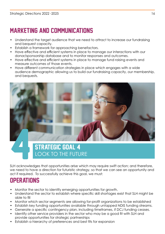# Marketing and communications

- Understand the target audience that we need to attract to increase our fundraising and bequest capacity.
- Establish a framework for approaching benefactors.
- Have effective and efficient systems in place to manage our interactions with our donor/sponsorship database and to monitor responses and outcomes.
- Have effective and efficient systems in place to manage fund raising events and measure outcomes of those events.
- Have different communication strategies in place which engages with a wide audience demographic allowing us to build our fundraising capacity, our membership, and bequests.



SLH acknowledges that opportunities arise which may require swift action; and therefore, we need to have a direction for futuristic strategy, so that we can see an opportunity and act if required. To successfully achieve this goal, we must:

# **OPERATIONS**

- Monitor the sector to identify emerging opportunities for growth.
- Understand the sector to establish where specific skill shortages exist that SLH might be able to fill
- Monitor which sector segments are allowing for-profit organizations to be established
- Establish key funding opportunities available through untapped NDIS funding streams.
- Generate a specific contingency plan, including timeframes, if DCJ funding ceases.
- Identify other service providers in the sector who may be a good fit with SLH and provide opportunities for strategic partnerships
- Establish a hierarchy of preferences and best fits for expansion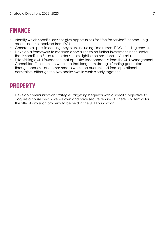### **FINANCE**

- Identify which specific services give opportunities for "fee for service" income e.g. recent income received from DCJ
- Generate a specific contingency plan, including timeframes, if DCJ funding ceases.
- Develop a framework to measure a social return on further investment in the sector that is specific to St Laurence House – as Lighthouse has done in Victoria.
- Establishing a SLH foundation that operates independently from the SLH Management Committee. The intention would be that long term strategic funding generated through bequests and other means would be quarantined from operational constraints, although the two bodies would work closely together.

# **PROPERTY**

• Develop communication strategies targeting bequests with a specific objective to acquire a house which we will own and have secure tenure of. There is potential for the title of any such property to be held in the SLH Foundation.